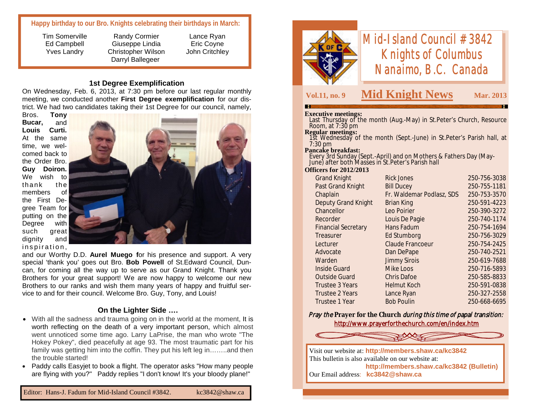## **Happy birthday to our Bro. Knights celebrating their birthdays in March:**

Tim Somerville Ed Campbell Yves Landry

Randy Cormier Giuseppe Lindia Christopher Wilson Darryl Ballegeer

Lance Ryan Eric Coyne John Critchley

#### **1st Degree Exemplification**

On Wednesday, Feb. 6, 2013, at 7:30 pm before our last regular monthly meeting, we conducted another **First Degree exemplification** for our district. We had two candidates taking their 1st Degree for our council, namely,

Bros. **Tony Bucar,** and **Louis Curti.** At the same time, we welcomed back to the Order Bro. **Guy Doiron.**  We wish to thank the members of the First Degree Team for putting on the Degree with such great dignity and inspiration,



and our Worthy D.D. **Aurel Muego f**or his presence and support. A very special 'thank you' goes out Bro. **Bob Powell** of St.Edward Council, Duncan, for coming all the way up to serve as our Grand Knight. Thank you Brothers for your great support! We are now happy to welcome our new Brothers to our ranks and wish them many years of happy and fruitful service to and for their council. Welcome Bro. Guy, Tony, and Louis!

#### **On the Lighter Side ….**

- With all the sadness and trauma going on in the world at the moment, It is worth reflecting on the death of a very important person, which almost went unnoticed some time ago. Larry LaPrise, the man who wrote "The Hokey Pokey", died peacefully at age 93. The most traumatic part for his family was getting him into the coffin. They put his left leg in…...and then the trouble started!
- Paddy calls Easyjet to book a flight. The operator asks "How many people are flying with you?" Paddy replies "I don't know! It's your bloody plane!"



# *Mid-Island Council #3842 Knights of Columbus Nanaimo, B.C. Canada*

# **Vol.11, no. 9 Mid Knight News Mar. 2013**

#### **Executive meetings:**

 Last Thursday of the month (Aug.-May) in St.Peter's Church, Resource Room, at 7:30 pm

#### **Regular meetings:**

 1st Wednesday of the month (Sept.-June) in St.Peter's Parish hall, at 7:30 pm

#### **Pancake breakfast:**

 Every 3rd Sunday (Sept.-April) and on Mothers & Fathers Day (May-June) after both Masses in St.Peter's Parish hall

#### **Officers for 2012/2013**

| <b>Grand Knight</b>        | <b>Rick Jones</b>         | 250-756-3038 |
|----------------------------|---------------------------|--------------|
| Past Grand Knight          | <b>Bill Ducey</b>         | 250-755-1181 |
| Chaplain                   | Fr. Waldemar Podlasz, SDS | 250-753-3570 |
| <b>Deputy Grand Knight</b> | <b>Brian King</b>         | 250-591-4223 |
| Chancellor                 | Leo Poirier               | 250-390-3272 |
| Recorder                   | Louis De Pagie            | 250-740-1174 |
| <b>Financial Secretary</b> | Hans Fadum                | 250-754-1694 |
| Treasurer                  | Ed Stumborg               | 250-756-3029 |
| Lecturer                   | <b>Claude Francoeur</b>   | 250-754-2425 |
| Advocate                   | Dan DePape                | 250-740-2521 |
| Warden                     | <b>Jimmy Sirois</b>       | 250-619-7688 |
| <b>Inside Guard</b>        | Mike Loos                 | 250-716-5893 |
| <b>Outside Guard</b>       | <b>Chris Dafoe</b>        | 250-585-8833 |
| <b>Trustee 3 Years</b>     | <b>Helmut Koch</b>        | 250-591-0838 |
| <b>Trustee 2 Years</b>     | Lance Ryan                | 250-327-2558 |
| Trustee 1 Year             | <b>Bob Poulin</b>         | 250-668-6695 |
|                            |                           |              |

**Pray the Prayer for the Church** *during this time of papal transition:* http://www.prayerforthechurch.com/en/index.htm